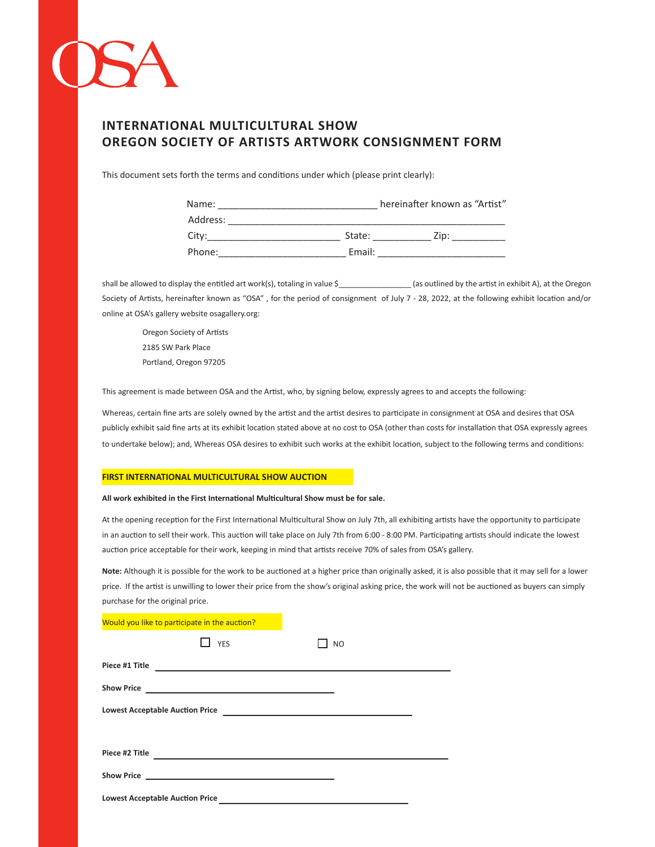

# **INTERNATIONAL MULTICULTURAL SHOW OREGON SOCIETY OF ARTISTS ARTWORK CONSIGNMENT FORM**

This document sets forth the terms and conditions under which (please print clearly):

| Name:    |        | hereinafter known as "Artist" |
|----------|--------|-------------------------------|
| Address: |        |                               |
| City:    | State: | Zip:                          |
| Phone:   | Email: |                               |

shall be allowed to display the entitled art work(s), totaling in value \$\_\_\_\_\_\_\_\_\_\_\_\_\_\_\_\_\_ (as outlined by the artist in exhibit A), at the Oregon Society of Artists, hereinafter known as "OSA" , for the period of consignment of July 7 - 28, 2022, at the following exhibit location and/or online at OSA's gallery website osagallery.org:

Oregon Society of Artists 2185 SW Park Place Portland, Oregon 97205

This agreement is made between OSA and the Artist, who, by signing below, expressly agrees to and accepts the following:

Whereas, certain fine arts are solely owned by the artist and the artist desires to participate in consignment at OSA and desires that OSA publicly exhibit said fine arts at its exhibit location stated above at no cost to OSA (other than costs for installation that OSA expressly agrees to undertake below); and, Whereas OSA desires to exhibit such works at the exhibit location, subject to the following terms and conditions:

#### **FIRST INTERNATIONAL MULTICULTURAL SHOW AUCTION**

#### **All work exhibited in the First International Multicultural Show must be for sale.**

At the opening reception for the First International Multicultural Show on July 7th, all exhibiting artists have the opportunity to participate in an auction to sell their work. This auction will take place on July 7th from 6:00 - 8:00 PM. Participating artists should indicate the lowest auction price acceptable for their work, keeping in mind that artists receive 70% of sales from OSA's gallery.

**Note:** Although it is possible for the work to be auctioned at a higher price than originally asked, it is also possible that it may sell for a lower price. If the artist is unwilling to lower their price from the show's original asking price, the work will not be auctioned as buyers can simply purchase for the original price.

|  | Would you like to participate in the auction?                                                                                                                                                        |           |  |  |
|--|------------------------------------------------------------------------------------------------------------------------------------------------------------------------------------------------------|-----------|--|--|
|  | YES                                                                                                                                                                                                  | <b>NO</b> |  |  |
|  |                                                                                                                                                                                                      |           |  |  |
|  |                                                                                                                                                                                                      |           |  |  |
|  |                                                                                                                                                                                                      |           |  |  |
|  |                                                                                                                                                                                                      |           |  |  |
|  | Show Price <b>Show Price Show Price Show Price Show Price Show Price Show Price Show Price Show Price Show Price Show Price Show Price Show Price Show Price Show Price Show Price Show Price Sh</b> |           |  |  |
|  | <b>Lowest Acceptable Auction Price</b>                                                                                                                                                               |           |  |  |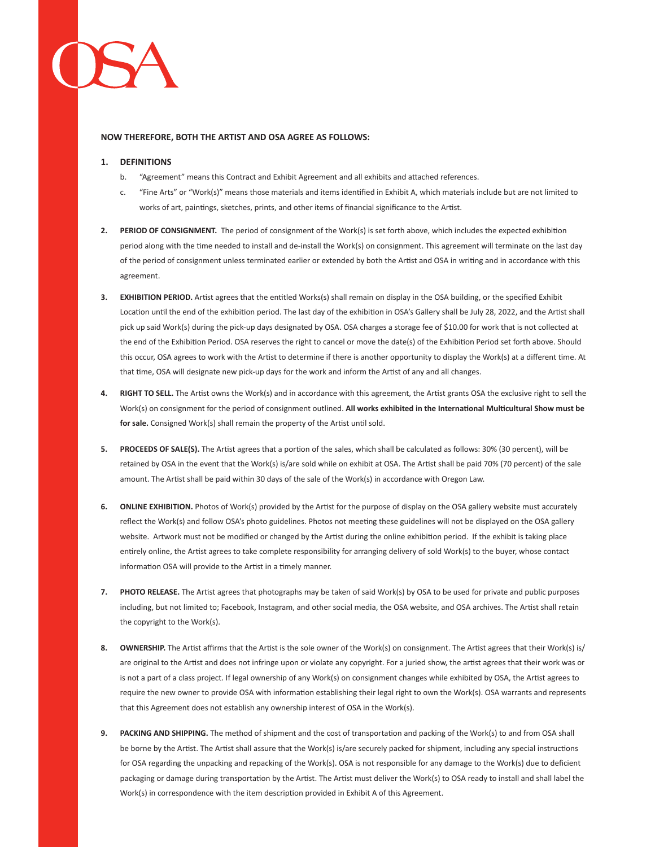### **NOW THEREFORE, BOTH THE ARTIST AND OSA AGREE AS FOLLOWS:**

### **1. DEFINITIONS**

- b. "Agreement" means this Contract and Exhibit Agreement and all exhibits and attached references.
- c. "Fine Arts" or "Work(s)" means those materials and items identified in Exhibit A, which materials include but are not limited to works of art, paintings, sketches, prints, and other items of financial significance to the Artist.
- **2. PERIOD OF CONSIGNMENT.** The period of consignment of the Work(s) is set forth above, which includes the expected exhibition period along with the time needed to install and de-install the Work(s) on consignment. This agreement will terminate on the last day of the period of consignment unless terminated earlier or extended by both the Artist and OSA in writing and in accordance with this agreement.
- **3. EXHIBITION PERIOD.** Artist agrees that the entitled Works(s) shall remain on display in the OSA building, or the specified Exhibit Location until the end of the exhibition period. The last day of the exhibition in OSA's Gallery shall be July 28, 2022, and the Artist shall pick up said Work(s) during the pick-up days designated by OSA. OSA charges a storage fee of \$10.00 for work that is not collected at the end of the Exhibition Period. OSA reserves the right to cancel or move the date(s) of the Exhibition Period set forth above. Should this occur, OSA agrees to work with the Artist to determine if there is another opportunity to display the Work(s) at a different time. At that time, OSA will designate new pick-up days for the work and inform the Artist of any and all changes.
- **4. RIGHT TO SELL.** The Artist owns the Work(s) and in accordance with this agreement, the Artist grants OSA the exclusive right to sell the Work(s) on consignment for the period of consignment outlined. **All works exhibited in the International Multicultural Show must be for sale.** Consigned Work(s) shall remain the property of the Artist until sold.
- **5. PROCEEDS OF SALE(S).** The Artist agrees that a portion of the sales, which shall be calculated as follows: 30% (30 percent), will be retained by OSA in the event that the Work(s) is/are sold while on exhibit at OSA. The Artist shall be paid 70% (70 percent) of the sale amount. The Artist shall be paid within 30 days of the sale of the Work(s) in accordance with Oregon Law.
- **6. ONLINE EXHIBITION.** Photos of Work(s) provided by the Artist for the purpose of display on the OSA gallery website must accurately reflect the Work(s) and follow OSA's photo guidelines. Photos not meeting these guidelines will not be displayed on the OSA gallery website. Artwork must not be modified or changed by the Artist during the online exhibition period. If the exhibit is taking place entirely online, the Artist agrees to take complete responsibility for arranging delivery of sold Work(s) to the buyer, whose contact information OSA will provide to the Artist in a timely manner.
- **7. PHOTO RELEASE.** The Artist agrees that photographs may be taken of said Work(s) by OSA to be used for private and public purposes including, but not limited to; Facebook, Instagram, and other social media, the OSA website, and OSA archives. The Artist shall retain the copyright to the Work(s).
- **8. OWNERSHIP.** The Artist affirms that the Artist is the sole owner of the Work(s) on consignment. The Artist agrees that their Work(s) is/ are original to the Artist and does not infringe upon or violate any copyright. For a juried show, the artist agrees that their work was or is not a part of a class project. If legal ownership of any Work(s) on consignment changes while exhibited by OSA, the Artist agrees to require the new owner to provide OSA with information establishing their legal right to own the Work(s). OSA warrants and represents that this Agreement does not establish any ownership interest of OSA in the Work(s).
- **9. PACKING AND SHIPPING.** The method of shipment and the cost of transportation and packing of the Work(s) to and from OSA shall be borne by the Artist. The Artist shall assure that the Work(s) is/are securely packed for shipment, including any special instructions for OSA regarding the unpacking and repacking of the Work(s). OSA is not responsible for any damage to the Work(s) due to deficient packaging or damage during transportation by the Artist. The Artist must deliver the Work(s) to OSA ready to install and shall label the Work(s) in correspondence with the item description provided in Exhibit A of this Agreement.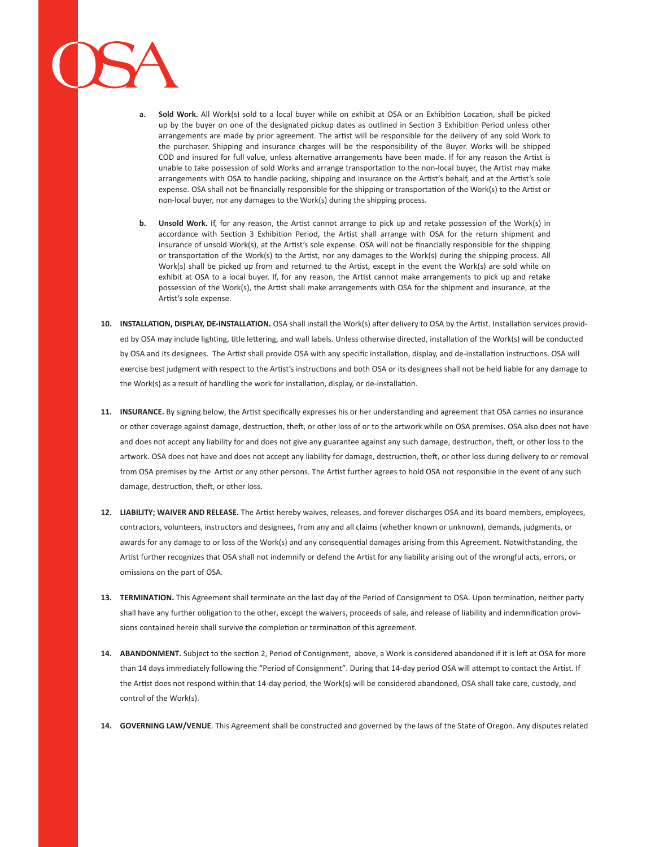- **a. Sold Work.** All Work(s) sold to a local buyer while on exhibit at OSA or an Exhibition Location, shall be picked up by the buyer on one of the designated pickup dates as outlined in Section 3 Exhibition Period unless other arrangements are made by prior agreement. The artist will be responsible for the delivery of any sold Work to the purchaser. Shipping and insurance charges will be the responsibility of the Buyer. Works will be shipped COD and insured for full value, unless alternative arrangements have been made. If for any reason the Artist is unable to take possession of sold Works and arrange transportation to the non-local buyer, the Artist may make arrangements with OSA to handle packing, shipping and insurance on the Artist's behalf, and at the Artist's sole expense. OSA shall not be financially responsible for the shipping or transportation of the Work(s) to the Artist or non-local buyer, nor any damages to the Work(s) during the shipping process.
- **b. Unsold Work.** If, for any reason, the Artist cannot arrange to pick up and retake possession of the Work(s) in accordance with Section 3 Exhibition Period, the Artist shall arrange with OSA for the return shipment and insurance of unsold Work(s), at the Artist's sole expense. OSA will not be financially responsible for the shipping or transportation of the Work(s) to the Artist, nor any damages to the Work(s) during the shipping process. All Work(s) shall be picked up from and returned to the Artist, except in the event the Work(s) are sold while on exhibit at OSA to a local buyer. If, for any reason, the Artist cannot make arrangements to pick up and retake possession of the Work(s), the Artist shall make arrangements with OSA for the shipment and insurance, at the Artist's sole expense.
- **10. INSTALLATION, DISPLAY, DE-INSTALLATION.** OSA shall install the Work(s) after delivery to OSA by the Artist. Installation services provided by OSA may include lighting, title lettering, and wall labels. Unless otherwise directed, installation of the Work(s) will be conducted by OSA and its designees. The Artist shall provide OSA with any specific installation, display, and de-installation instructions. OSA will exercise best judgment with respect to the Artist's instructions and both OSA or its designees shall not be held liable for any damage to the Work(s) as a result of handling the work for installation, display, or de-installation.
- **11. INSURANCE.** By signing below, the Artist specifically expresses his or her understanding and agreement that OSA carries no insurance or other coverage against damage, destruction, theft, or other loss of or to the artwork while on OSA premises. OSA also does not have and does not accept any liability for and does not give any guarantee against any such damage, destruction, theft, or other loss to the artwork. OSA does not have and does not accept any liability for damage, destruction, theft, or other loss during delivery to or removal from OSA premises by the Artist or any other persons. The Artist further agrees to hold OSA not responsible in the event of any such damage, destruction, theft, or other loss.
- **12. LIABILITY; WAIVER AND RELEASE.** The Artist hereby waives, releases, and forever discharges OSA and its board members, employees, contractors, volunteers, instructors and designees, from any and all claims (whether known or unknown), demands, judgments, or awards for any damage to or loss of the Work(s) and any consequential damages arising from this Agreement. Notwithstanding, the Artist further recognizes that OSA shall not indemnify or defend the Artist for any liability arising out of the wrongful acts, errors, or omissions on the part of OSA.
- **13. TERMINATION.** This Agreement shall terminate on the last day of the Period of Consignment to OSA. Upon termination, neither party shall have any further obligation to the other, except the waivers, proceeds of sale, and release of liability and indemnification provisions contained herein shall survive the completion or termination of this agreement.
- **14. ABANDONMENT.** Subject to the section 2, Period of Consignment, above, a Work is considered abandoned if it is left at OSA for more than 14 days immediately following the "Period of Consignment". During that 14-day period OSA will attempt to contact the Artist. If the Artist does not respond within that 14-day period, the Work(s) will be considered abandoned, OSA shall take care, custody, and control of the Work(s).
- **14. GOVERNING LAW/VENUE**. This Agreement shall be constructed and governed by the laws of the State of Oregon. Any disputes related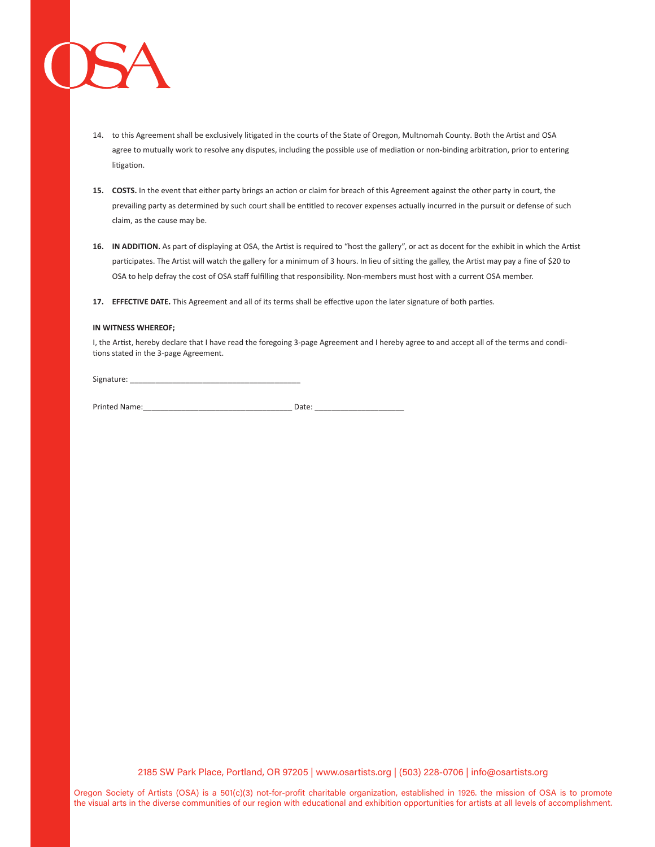

- 14. to this Agreement shall be exclusively litigated in the courts of the State of Oregon, Multnomah County. Both the Artist and OSA agree to mutually work to resolve any disputes, including the possible use of mediation or non-binding arbitration, prior to entering litigation.
- **15. COSTS.** In the event that either party brings an action or claim for breach of this Agreement against the other party in court, the prevailing party as determined by such court shall be entitled to recover expenses actually incurred in the pursuit or defense of such claim, as the cause may be.
- **16. IN ADDITION.** As part of displaying at OSA, the Artist is required to "host the gallery", or act as docent for the exhibit in which the Artist participates. The Artist will watch the gallery for a minimum of 3 hours. In lieu of sitting the galley, the Artist may pay a fine of \$20 to OSA to help defray the cost of OSA staff fulfilling that responsibility. Non-members must host with a current OSA member.
- **17. EFFECTIVE DATE.** This Agreement and all of its terms shall be effective upon the later signature of both parties.

#### **IN WITNESS WHEREOF;**

I, the Artist, hereby declare that I have read the foregoing 3-page Agreement and I hereby agree to and accept all of the terms and conditions stated in the 3-page Agreement.

Signature:

Printed Name:\_\_\_\_\_\_\_\_\_\_\_\_\_\_\_\_\_\_\_\_\_\_\_\_\_\_\_\_\_\_\_\_\_\_\_ Date: \_\_\_\_\_\_\_\_\_\_\_\_\_\_\_\_\_\_\_\_\_

2185 SW Park Place, Portland, OR 97205 | www.osartists.org | (503) 228-0706 | info@osartists.org

Oregon Society of Artists (OSA) is a 501(c)(3) not-for-profit charitable organization, established in 1926. the mission of OSA is to promote the visual arts in the diverse communities of our region with educational and exhibition opportunities for artists at all levels of accomplishment.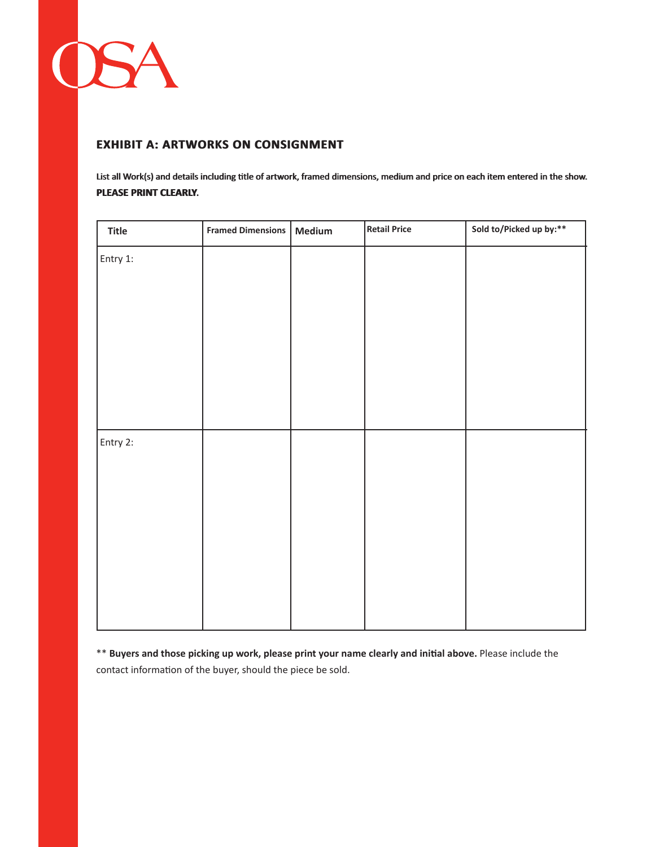

## **EXHIBIT A: ARTWORKS ON CONSIGNMENT**

List all Work(s) and details including title of artwork, framed dimensions, medium and price on each item entered in the show. **PLEASE PRINT CLEARLY PLEASE PRINT CLEARLY.**

| <b>Title</b> | <b>Framed Dimensions</b> | Medium | <b>Retail Price</b> | Sold to/Picked up by:** |
|--------------|--------------------------|--------|---------------------|-------------------------|
| Entry 1:     |                          |        |                     |                         |
|              |                          |        |                     |                         |
|              |                          |        |                     |                         |
|              |                          |        |                     |                         |
|              |                          |        |                     |                         |
|              |                          |        |                     |                         |
|              |                          |        |                     |                         |
| Entry 2:     |                          |        |                     |                         |
|              |                          |        |                     |                         |
|              |                          |        |                     |                         |
|              |                          |        |                     |                         |
|              |                          |        |                     |                         |
|              |                          |        |                     |                         |
|              |                          |        |                     |                         |
|              |                          |        |                     |                         |

\*\* **Buyers and those picking up work, please print your name clearly and initial above.** Please include the contact information of the buyer, should the piece be sold.